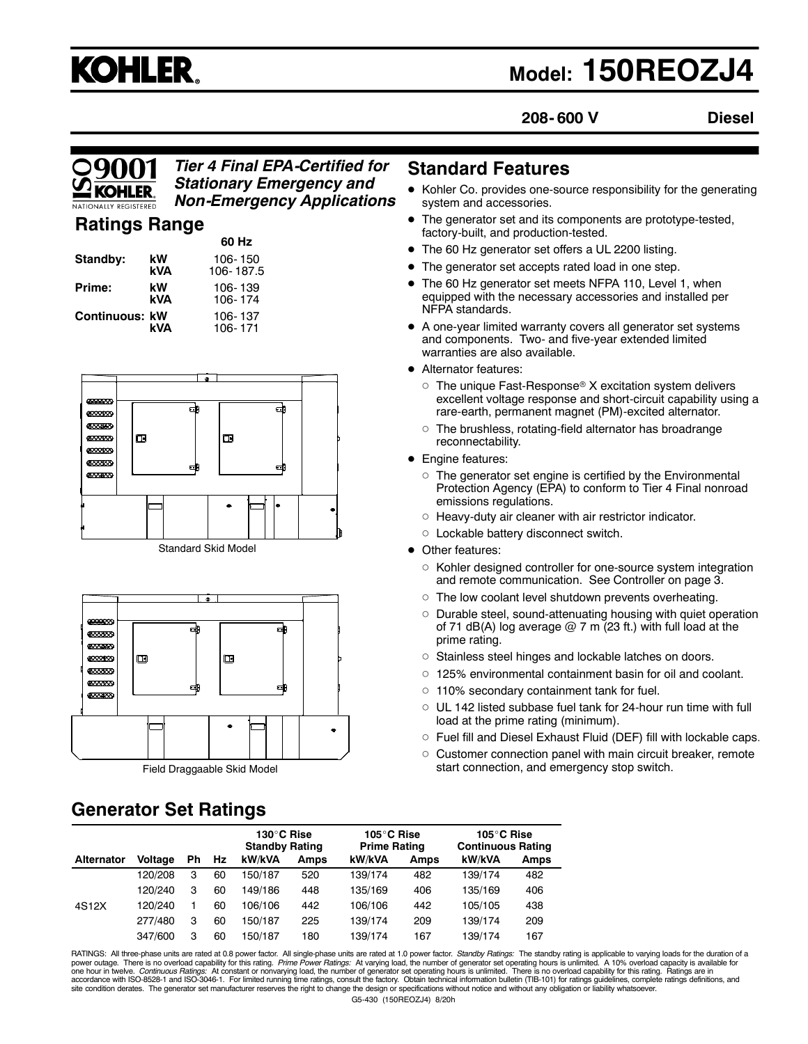# **KOHLER.**

# **Model: 150REOZJ4**

**208- 600 V Diesel**

#### *Tier 4 Final EPA-Certified for Stationary Emergency and Non-Emergency Applications*

**60 Hz**

# **Ratings Range**

|                |           | OU NZ                |
|----------------|-----------|----------------------|
| Standby:       | kW<br>kVA | 106-150<br>106-187.5 |
| Prime:         | kW<br>kVA | 106-139<br>106-174   |
| Continuous: kW | kVA       | 106-137<br>106-171   |





# **Generator Set Ratings**

# **Standard Features**

- Kohler Co. provides one-source responsibility for the generating system and accessories.
- The generator set and its components are prototype-tested, factory-built, and production-tested.
- The 60 Hz generator set offers a UL 2200 listing.
- The generator set accepts rated load in one step.
- The 60 Hz generator set meets NFPA 110, Level 1, when equipped with the necessary accessories and installed per NFPA standards.
- A one-year limited warranty covers all generator set systems and components. Two- and five-year extended limited warranties are also available.
- Alternator features:
	- $\circ~$  The unique Fast-Response® X excitation system delivers excellent voltage response and short-circuit capability using a rare-earth, permanent magnet (PM)-excited alternator.
	- $\circ~$  The brushless, rotating-field alternator has broadrange reconnectability.
- **•** Engine features:
	- $\circ~$  The generator set engine is certified by the Environmental Protection Agency (EPA) to conform to Tier 4 Final nonroad emissions regulations.
	- $\circ$  Heavy-duty air cleaner with air restrictor indicator.
	- o Lockable battery disconnect switch.
- Other features:
	- $\circ~$  Kohler designed controller for one-source system integration and remote communication. See Controller on page 3.
	- The low coolant level shutdown prevents overheating.
	- Durable steel, sound-attenuating housing with quiet operation of 71 dB(A) log average  $@$  7 m (23 ft.) with full load at the prime rating.
	- $\circ$  Stainless steel hinges and lockable latches on doors.
	- 125% environmental containment basin for oil and coolant.
	- 110% secondary containment tank for fuel.
	- $\circ~$  UL 142 listed subbase fuel tank for 24-hour run time with full load at the prime rating (minimum).
	- $\circ~$  Fuel fill and Diesel Exhaust Fluid (DEF) fill with lockable caps.
	- $\circ~$  Customer connection panel with main circuit breaker, remote start connection, and emergency stop switch.

|                   |                |    |    | 130°C Rise<br><b>Standby Rating</b> |             | 105°C Rise<br><b>Prime Rating</b> |             | 105°C Rise<br><b>Continuous Rating</b> |             |
|-------------------|----------------|----|----|-------------------------------------|-------------|-----------------------------------|-------------|----------------------------------------|-------------|
| <b>Alternator</b> | <b>Voltage</b> | Ph | Hz | kW/kVA                              | <b>Amps</b> | kW/kVA                            | <b>Amps</b> | kW/kVA                                 | <b>Amps</b> |
|                   | 120/208        | 3  | 60 | 150/187                             | 520         | 139/174                           | 482         | 139/174                                | 482         |
|                   | 120/240        | 3  | 60 | 149/186                             | 448         | 135/169                           | 406         | 135/169                                | 406         |
| 4S12X             | 120/240        |    | 60 | 106/106                             | 442         | 106/106                           | 442         | 105/105                                | 438         |
|                   | 277/480        | 3  | 60 | 50/187                              | 225         | 139/174                           | 209         | 139/174                                | 209         |
|                   | 347/600        | 3  | 60 | 150/187                             | 180         | 139/174                           | 167         | 139/174                                | 167         |

G5-430 (150REOZJ4) 8/20h RATINGS: All three-phase units are rated at 0.8 power factor. All single-phase units are rated at 1.0 power factor. *Standby Ratings:* The standby rating is applicable to varying loads for the duration of a<br>power outage. T accordance with ISO-8528-1 and ISO-3046-1. For limited running time ratings, consult the factory. Obtain technical information bulletin (TIB-101) for ratings guidelines, complete ratings definitions, and<br>site condition der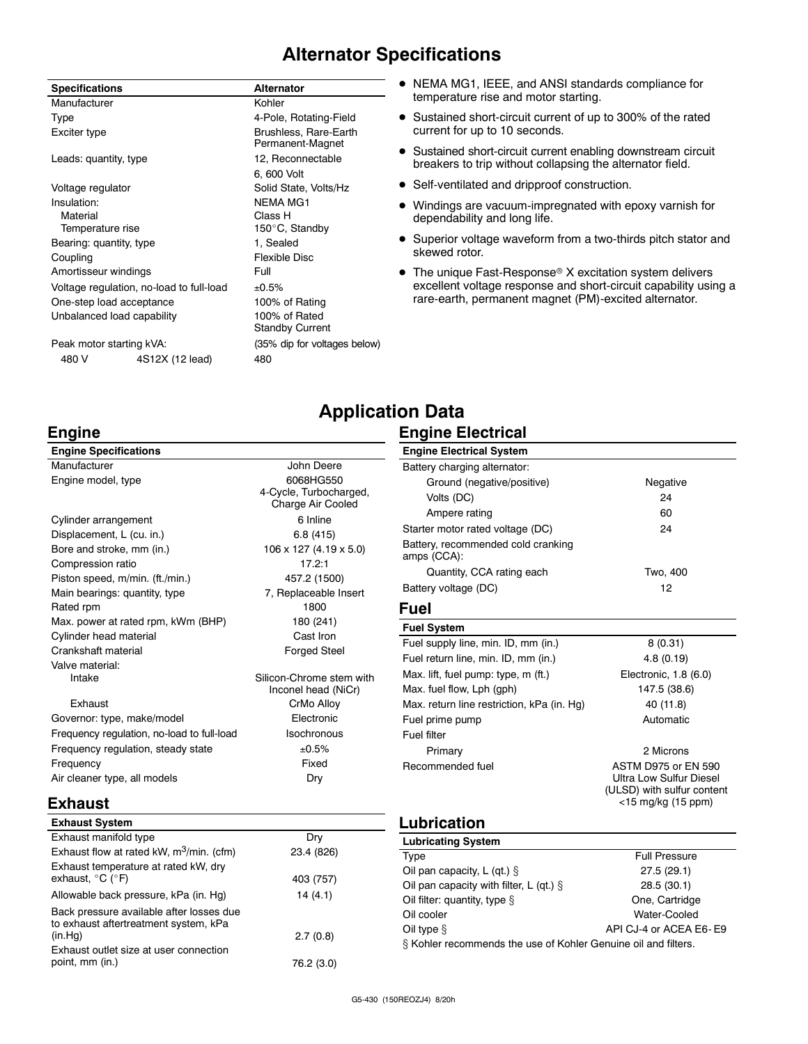# **Alternator Specifications**

| <b>Specifications</b>                    |                            | <b>Alternator</b>                         |
|------------------------------------------|----------------------------|-------------------------------------------|
| Manufacturer                             |                            | Kohler                                    |
| <b>Type</b>                              |                            | 4-Pole, Rotating-Field                    |
| Exciter type                             |                            | Brushless, Rare-Earth<br>Permanent-Magnet |
| Leads: quantity, type                    |                            | 12, Reconnectable                         |
|                                          |                            | 6, 600 Volt                               |
| Voltage regulator                        |                            | Solid State, Volts/Hz                     |
| Insulation:                              |                            | <b>NFMA MG1</b>                           |
| Material                                 |                            | Class H                                   |
| Temperature rise                         |                            | 150°C, Standby                            |
| Bearing: quantity, type                  |                            | 1, Sealed                                 |
| Coupling                                 |                            | Flexible Disc                             |
| Amortisseur windings                     |                            | Full                                      |
| Voltage regulation, no-load to full-load |                            | ±0.5%                                     |
| One-step load acceptance                 |                            | 100% of Rating                            |
|                                          | Unbalanced load capability | 100% of Rated<br><b>Standby Current</b>   |
| Peak motor starting kVA:                 |                            | (35% dip for voltages below)              |
| 480 V                                    | 4S12X (12 lead)            | 480                                       |

- NEMA MG1, IEEE, and ANSI standards compliance for temperature rise and motor starting.
- Sustained short-circuit current of up to 300% of the rated current for up to 10 seconds.
- Sustained short-circuit current enabling downstream circuit breakers to trip without collapsing the alternator field.
- Self-ventilated and dripproof construction.
- Windings are vacuum-impregnated with epoxy varnish for dependability and long life.
- Superior voltage waveform from a two-thirds pitch stator and skewed rotor.
- The unique Fast-Response® X excitation system delivers excellent voltage response and short-circuit capability using a rare-earth, permanent magnet (PM)-excited alternator.

### **Engine**

**Exhaust Exhaust System**

| <b>Engine Specifications</b>               |                                                          |
|--------------------------------------------|----------------------------------------------------------|
| Manufacturer                               | John Deere                                               |
| Engine model, type                         | 6068HG550<br>4-Cycle, Turbocharged,<br>Charge Air Cooled |
| Cylinder arrangement                       | 6 Inline                                                 |
| Displacement, L (cu. in.)                  | 6.8(415)                                                 |
| Bore and stroke, mm (in.)                  | 106 x 127 (4.19 x 5.0)                                   |
| Compression ratio                          | 17.2:1                                                   |
| Piston speed, m/min. (ft./min.)            | 457.2 (1500)                                             |
| Main bearings: quantity, type              | 7, Replaceable Insert                                    |
| Rated rpm                                  | 1800                                                     |
| Max. power at rated rpm, kWm (BHP)         | 180 (241)                                                |
| Cylinder head material                     | Cast Iron                                                |
| Crankshaft material                        | <b>Forged Steel</b>                                      |
| Valve material:                            |                                                          |
| Intake                                     | Silicon-Chrome stem with<br>Inconel head (NiCr)          |
| <b>Fxhaust</b>                             | CrMo Alloy                                               |
| Governor: type, make/model                 | Flectronic                                               |
| Frequency regulation, no-load to full-load | Isochronous                                              |
| Frequency regulation, steady state         | ±0.5%                                                    |

# bocharged, ir Cooled  $4.19 \times 5.0$ able Insert Inconel head (NiCr)

| Intake                                     | Silicon-Chrome stem with<br>Inconel head (NiCr) |
|--------------------------------------------|-------------------------------------------------|
| Exhaust                                    | CrMo Alloy                                      |
| Governor: type, make/model                 | Electronic                                      |
| Frequency regulation, no-load to full-load | Isochronous                                     |
| Frequency regulation, steady state         | ±0.5%                                           |
| Frequency                                  | Fixed                                           |
| Air cleaner type, all models               | Drv                                             |

# **Engine Electrical System** Battery charging alternator: Ground (negative/positive) Negative Volts (DC) 24 Ampere rating and the control of the control of  $\sim$  60 Quantity, CCA rating each Two, 400 Primary 2 Microns Ultra Low Sulfur Diesel (ULSD) with sulfur content <15 mg/kg (15 ppm) Oil pan capacity with filter, L (qt.)  $\frac{1}{3}$  28.5 (30.1)

Oil cooler **Water-Cooled** Oil type  $\S$  API CJ-4 or ACEA E6- E9 § Kohler recommends the use of Kohler Genuine oil and filters.

Exhaust manifold type **Dry** Dry Exhaust flow at rated kW,  $m^3/m$ in. (cfm) 23.4 (826) Exhaust temperature at rated kW, dry exhaust,  $^{\circ}$ C ( $^{\circ}$ F) 403 (757) Allowable back pressure, kPa (in. Hg) 14 (4.1) Back pressure available after losses due to exhaust aftertreatment system, kPa (in.Hg) 2.7 (0.8) Exhaust outlet size at user connection point, mm (in.) 76.2 (3.0) Oil filter: quantity, type  $\S$  One, Cartridge

**Engine Electrical**

**Application Data**

| Ampere rating                                     | 60                                                                                                 |
|---------------------------------------------------|----------------------------------------------------------------------------------------------------|
| Starter motor rated voltage (DC)                  | 24                                                                                                 |
| Battery, recommended cold cranking<br>amps (CCA): |                                                                                                    |
| Quantity, CCA rating each                         | Two, 400                                                                                           |
| Battery voltage (DC)                              | 12                                                                                                 |
| Fuel                                              |                                                                                                    |
| <b>Fuel System</b>                                |                                                                                                    |
| Fuel supply line, min. ID, mm (in.)               | 8(0.31)                                                                                            |
| Fuel return line, min. ID, mm (in.)               | 4.8(0.19)                                                                                          |
| Max. lift, fuel pump: type, m (ft.)               | Electronic, 1.8 (6.0)                                                                              |
| Max. fuel flow, Lph (gph)                         | 147.5 (38.6)                                                                                       |
| Max. return line restriction, kPa (in. Hg)        | 40 (11.8)                                                                                          |
| Fuel prime pump                                   | Automatic                                                                                          |
| Fuel filter                                       |                                                                                                    |
| Primary                                           | 2 Microns                                                                                          |
| Recommended fuel                                  | ASTM D975 or FN 590<br>Ultra Low Sulfur Diesel<br>(ULSD) with sulfur content<br><15 mg/kg (15 ppm) |
| <b>Lubrication</b>                                |                                                                                                    |
| <b>Lubricating System</b>                         |                                                                                                    |
| Type                                              | <b>Full Pressure</b>                                                                               |
| Oil pan capacity, L (qt.) $\S$                    | 27.5 (29.1)                                                                                        |
| Oil nan canacity with filter $1$ (at $8$          | 28.5(30.1)                                                                                         |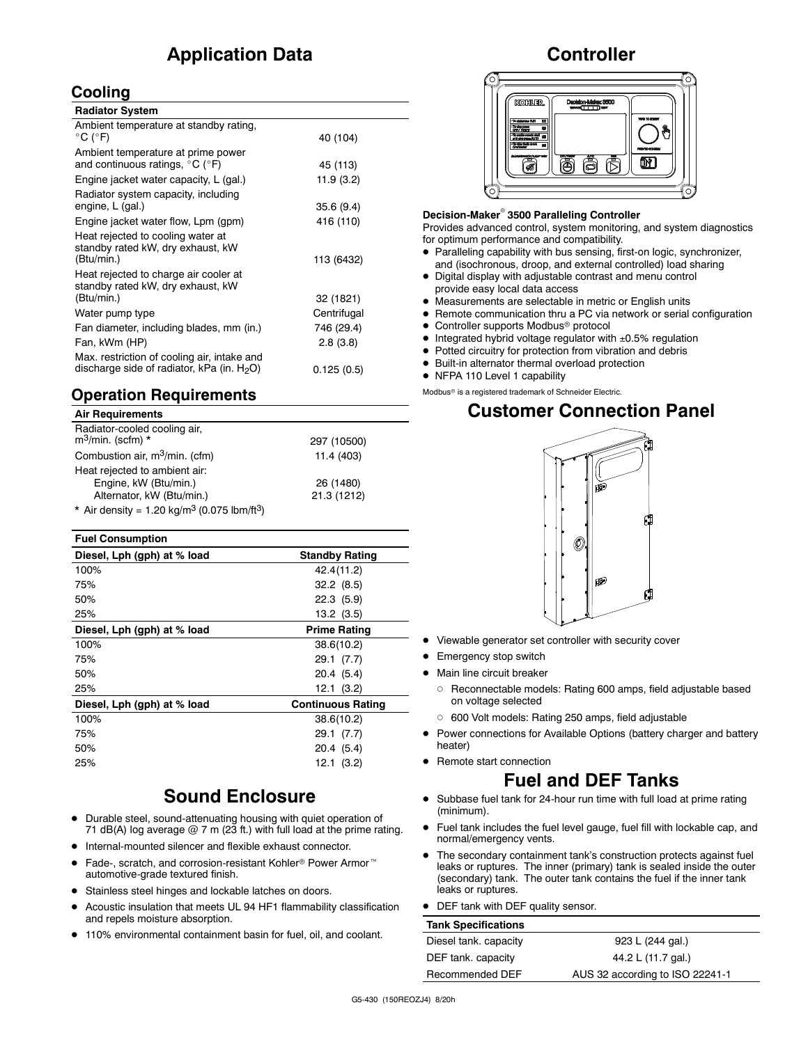# **Application Data**

### **Cooling**

| <b>Radiator System</b>                                                                       |             |  |
|----------------------------------------------------------------------------------------------|-------------|--|
| Ambient temperature at standby rating,<br>$^{\circ}$ C ( $^{\circ}$ F)                       | 40 (104)    |  |
| Ambient temperature at prime power<br>and continuous ratings, $^{\circ}$ C ( $^{\circ}$ F)   | 45 (113)    |  |
| Engine jacket water capacity, L (gal.)                                                       | 11.9(3.2)   |  |
| Radiator system capacity, including<br>engine, L (gal.)                                      | 35.6(9.4)   |  |
| Engine jacket water flow, Lpm (gpm)                                                          | 416 (110)   |  |
| Heat rejected to cooling water at<br>standby rated kW, dry exhaust, kW<br>(Btu/min.)         | 113 (6432)  |  |
| Heat rejected to charge air cooler at<br>standby rated kW, dry exhaust, kW<br>(Btu/min.)     | 32 (1821)   |  |
| Water pump type                                                                              | Centrifugal |  |
| Fan diameter, including blades, mm (in.)                                                     | 746 (29.4)  |  |
| Fan, kWm (HP)                                                                                | 2.8(3.8)    |  |
| Max. restriction of cooling air, intake and<br>discharge side of radiator, kPa (in. $H_2O$ ) | 0.125(0.5)  |  |

## **Operation Requirements**

| <b>Air Requirements</b>                                            |             |
|--------------------------------------------------------------------|-------------|
| Radiator-cooled cooling air,<br>$m^3$ /min. (scfm) *               | 297 (10500) |
| Combustion air, m <sup>3</sup> /min. (cfm)                         | 11.4 (403)  |
| Heat rejected to ambient air:                                      |             |
| Engine, kW (Btu/min.)                                              | 26 (1480)   |
| Alternator, kW (Btu/min.)                                          | 21.3 (1212) |
| * Air density = $1.20 \text{ kg/m}^3$ (0.075 lbm/ft <sup>3</sup> ) |             |

| <b>Fuel Consumption</b>     |                          |
|-----------------------------|--------------------------|
| Diesel, Lph (gph) at % load | <b>Standby Rating</b>    |
| 100%                        | 42.4(11.2)               |
| 75%                         | 32.2(8.5)                |
| 50%                         | 22.3(5.9)                |
| 25%                         | $13.2$ $(3.5)$           |
| Diesel, Lph (gph) at % load | Prime Rating             |
| 100%                        | 38.6(10.2)               |
| 75%                         | 29.1 (7.7)               |
| 50%                         | 20.4 (5.4)               |
| 25%                         | 12.1 (3.2)               |
| Diesel, Lph (gph) at % load | <b>Continuous Rating</b> |
| 100%                        | 38.6(10.2)               |
| 75%                         | 29.1 (7.7)               |
| 50%                         | 20.4 (5.4)               |
| 25%                         | 12.1(3.2)                |

# **Sound Enclosure**

- Durable steel, sound-attenuating housing with quiet operation of 71 dB(A) log average  $@$  7 m (23 ft.) with full load at the prime rating.
- $\bullet$  Internal-mounted silencer and flexible exhaust connector.
- Fade-, scratch, and corrosion-resistant Kohler<sup>®</sup> Power Armor<sup>™</sup> automotive-grade textured finish.
- Stainless steel hinges and lockable latches on doors.
- Acoustic insulation that meets UL 94 HF1 flammability classification and repels moisture absorption.
- 110% environmental containment basin for fuel, oil, and coolant.

## **Controller**



#### **Decision-Maker 3500 Paralleling Controller**

Provides advanced control, system monitoring, and system diagnostics for optimum performance and compatibility.

- Paralleling capability with bus sensing, first-on logic, synchronizer, and (isochronous, droop, and external controlled) load sharing
- Digital display with adjustable contrast and menu control provide easy local data access
- Measurements are selectable in metric or English units
- Remote communication thru a PC via network or serial configuration
- Controller supports Modbus<sup>®</sup> protocol
- Integrated hybrid voltage regulator with ±0.5% regulation
- Potted circuitry for protection from vibration and debris
- Built-in alternator thermal overload protection
- NFPA 110 Level 1 capability

Modbus<sup>®</sup> is a registered trademark of Schneider Electric.

# **Customer Connection Panel**



- Viewable generator set controller with security cover
- **•** Emergency stop switch
- Main line circuit breaker
	- Reconnectable models: Rating 600 amps, field adjustable based on voltage selected
	- 600 Volt models: Rating 250 amps, field adjustable
- Power connections for Available Options (battery charger and battery heater)
- Remote start connection

# **Fuel and DEF Tanks**

- Subbase fuel tank for 24-hour run time with full load at prime rating (minimum).
- Fuel tank includes the fuel level gauge, fuel fill with lockable cap, and normal/emergency vents.
- The secondary containment tank's construction protects against fuel leaks or ruptures. The inner (primary) tank is sealed inside the outer (secondary) tank. The outer tank contains the fuel if the inner tank leaks or ruptures.
- DEF tank with DEF quality sensor.

#### **Tank Specifications**

| Diesel tank. capacity | 923 L (244 gal.)                |
|-----------------------|---------------------------------|
| DEF tank. capacity    | 44.2 L (11.7 gal.)              |
| Recommended DEF       | AUS 32 according to ISO 22241-1 |